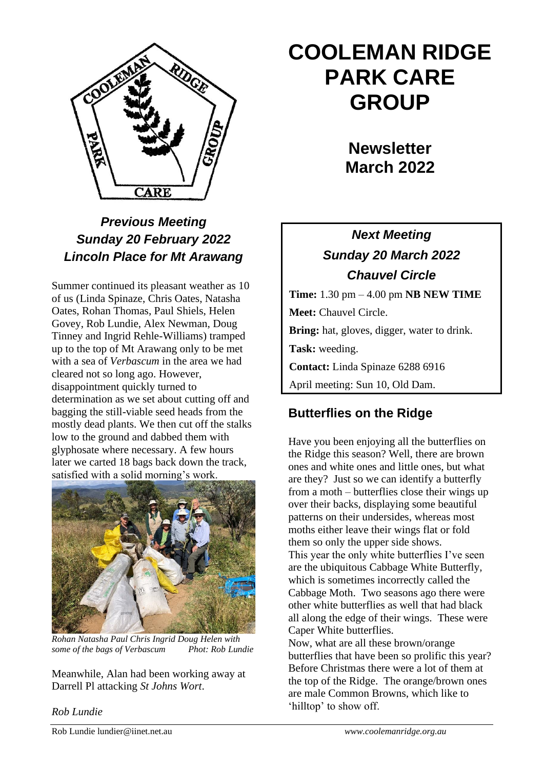

### *Previous Meeting Sunday 20 February 2022 Lincoln Place for Mt Arawang*

Summer continued its pleasant weather as 10 of us (Linda Spinaze, Chris Oates, Natasha Oates, Rohan Thomas, Paul Shiels, Helen Govey, Rob Lundie, Alex Newman, Doug Tinney and Ingrid Rehle-Williams) tramped up to the top of Mt Arawang only to be met with a sea of *Verbascum* in the area we had cleared not so long ago. However, disappointment quickly turned to determination as we set about cutting off and bagging the still-viable seed heads from the mostly dead plants. We then cut off the stalks low to the ground and dabbed them with glyphosate where necessary. A few hours later we carted 18 bags back down the track, satisfied with a solid morning's work.



*Rohan Natasha Paul Chris Ingrid Doug Helen with some of the bags of Verbascum Phot: Rob Lundie*

Meanwhile, Alan had been working away at Darrell Pl attacking *St Johns Wort*.

#### *Rob Lundie*

# **COOLEMAN RIDGE PARK CARE GROUP**

**Newsletter March 2022** 

## *Next Meeting Sunday 20 March 2022 Chauvel Circle*

**Time:** 1.30 pm – 4.00 pm **NB NEW TIME Meet:** Chauvel Circle. **Bring:** hat, gloves, digger, water to drink. **Task:** weeding. **Contact:** Linda Spinaze 6288 6916 April meeting: Sun 10, Old Dam.

#### **Butterflies on the Ridge**

Have you been enjoying all the butterflies on the Ridge this season? Well, there are brown ones and white ones and little ones, but what are they? Just so we can identify a butterfly from a moth – butterflies close their wings up over their backs, displaying some beautiful patterns on their undersides, whereas most moths either leave their wings flat or fold them so only the upper side shows. This year the only white butterflies I've seen are the ubiquitous Cabbage White Butterfly, which is sometimes incorrectly called the Cabbage Moth. Two seasons ago there were other white butterflies as well that had black all along the edge of their wings. These were Caper White butterflies. Now, what are all these brown/orange butterflies that have been so prolific this year? Before Christmas there were a lot of them at the top of the Ridge. The orange/brown ones

are male Common Browns, which like to

'hilltop' to show off.